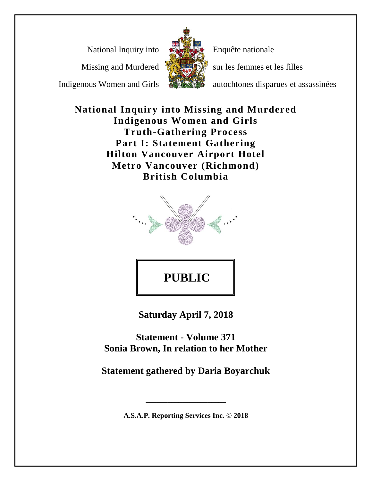National Inquiry into

Missing and Murdered

Indigenous Women and Girls



Enquête nationale

sur les femmes et les filles

autochtones disparues et assassinées

**National Inquiry into Missing and Murdered Indigenous Women and Girls Truth-Gathering Process Part I: Statement Gathering Hilton Vancouver Airport Hotel Metro Vancouver (Richmond) British Columbia**



**Saturday April 7, 2018**

**Statement - Volume 371 Sonia Brown, In relation to her Mother**

**Statement gathered by Daria Boyarchuk**

**A.S.A.P. Reporting Services Inc. © 2018**

**\_\_\_\_\_\_\_\_\_\_\_\_\_\_\_\_\_\_\_\_\_\_**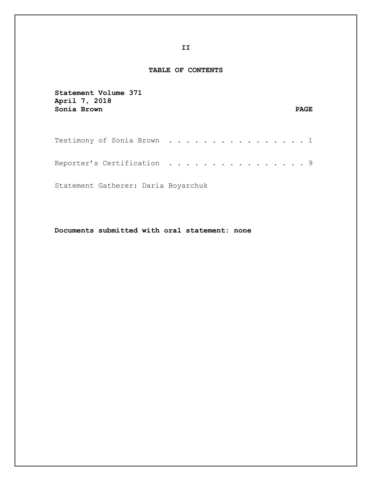## **TABLE OF CONTENTS**

| Statement Volume 371<br>April 7, 2018<br>Sonia Brown                       |  |  |  |  |  |  |  | <b>PAGE</b> |  |
|----------------------------------------------------------------------------|--|--|--|--|--|--|--|-------------|--|
| Testimony of Sonia Brown $\dots \dots \dots \dots \dots \dots \dots \dots$ |  |  |  |  |  |  |  |             |  |
| Reporter's Certification $\ldots \ldots \ldots \ldots \ldots$              |  |  |  |  |  |  |  |             |  |
| Statement Gatherer: Daria Boyarchuk                                        |  |  |  |  |  |  |  |             |  |

**Documents submitted with oral statement: none**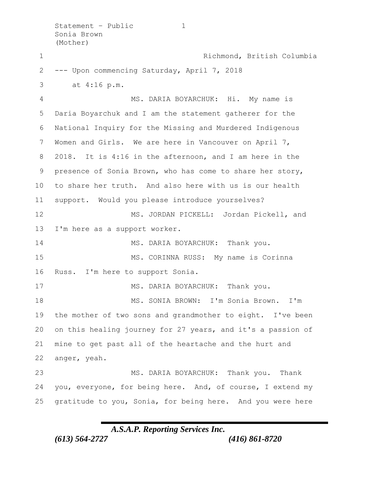Statement - Public 1 Sonia Brown (Mother) Richmond, British Columbia --- Upon commencing Saturday, April 7, 2018 3 at 4:16 p.m. MS. DARIA BOYARCHUK: Hi. My name is Daria Boyarchuk and I am the statement gatherer for the National Inquiry for the Missing and Murdered Indigenous Women and Girls. We are here in Vancouver on April 7, 2018. It is 4:16 in the afternoon, and I am here in the presence of Sonia Brown, who has come to share her story, to share her truth. And also here with us is our health support. Would you please introduce yourselves? MS. JORDAN PICKELL: Jordan Pickell, and I'm here as a support worker. 14 MS. DARIA BOYARCHUK: Thank you. MS. CORINNA RUSS: My name is Corinna Russ. I'm here to support Sonia. 17 MS. DARIA BOYARCHUK: Thank you. MS. SONIA BROWN: I'm Sonia Brown. I'm the mother of two sons and grandmother to eight. I've been on this healing journey for 27 years, and it's a passion of mine to get past all of the heartache and the hurt and anger, yeah. MS. DARIA BOYARCHUK: Thank you. Thank you, everyone, for being here. And, of course, I extend my gratitude to you, Sonia, for being here. And you were here

*A.S.A.P. Reporting Services Inc.*

*(613) 564-2727 (416) 861-8720*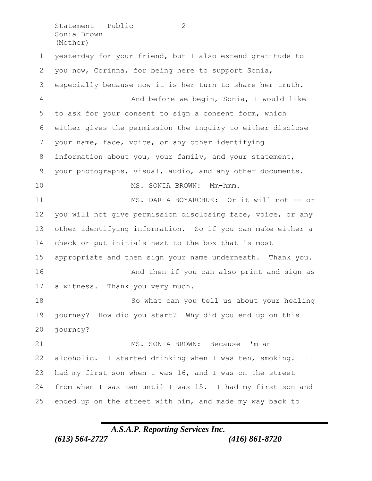Statement - Public 2 Sonia Brown (Mother)

 yesterday for your friend, but I also extend gratitude to you now, Corinna, for being here to support Sonia, especially because now it is her turn to share her truth. And before we begin, Sonia, I would like to ask for your consent to sign a consent form, which either gives the permission the Inquiry to either disclose your name, face, voice, or any other identifying information about you, your family, and your statement, your photographs, visual, audio, and any other documents. 10 MS. SONIA BROWN: Mm-hmm. 11 MS. DARIA BOYARCHUK: Or it will not -- or you will not give permission disclosing face, voice, or any other identifying information. So if you can make either a check or put initials next to the box that is most appropriate and then sign your name underneath. Thank you. 16 And then if you can also print and sign as a witness. Thank you very much. So what can you tell us about your healing journey? How did you start? Why did you end up on this journey? 21 MS. SONIA BROWN: Because I'm an alcoholic. I started drinking when I was ten, smoking. I had my first son when I was 16, and I was on the street from when I was ten until I was 15. I had my first son and ended up on the street with him, and made my way back to

*A.S.A.P. Reporting Services Inc. (613) 564-2727 (416) 861-8720*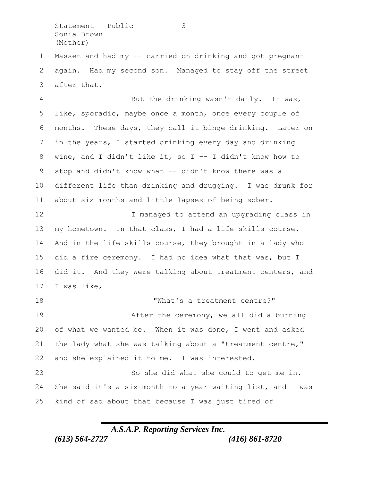Statement – Public 3 Sonia Brown (Mother)

 Masset and had my -- carried on drinking and got pregnant again. Had my second son. Managed to stay off the street after that.

 But the drinking wasn't daily. It was, like, sporadic, maybe once a month, once every couple of months. These days, they call it binge drinking. Later on in the years, I started drinking every day and drinking wine, and I didn't like it, so I -- I didn't know how to 9 stop and didn't know what -- didn't know there was a different life than drinking and drugging. I was drunk for about six months and little lapses of being sober.

**I** managed to attend an upgrading class in my hometown. In that class, I had a life skills course. And in the life skills course, they brought in a lady who did a fire ceremony. I had no idea what that was, but I did it. And they were talking about treatment centers, and I was like,

18 TWhat's a treatment centre?" 19 After the ceremony, we all did a burning of what we wanted be. When it was done, I went and asked the lady what she was talking about a "treatment centre," and she explained it to me. I was interested. So she did what she could to get me in.

 She said it's a six-month to a year waiting list, and I was kind of sad about that because I was just tired of

*A.S.A.P. Reporting Services Inc. (613) 564-2727 (416) 861-8720*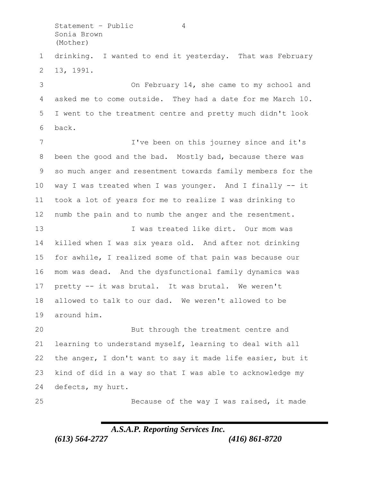Statement - Public 4 Sonia Brown (Mother)

 drinking. I wanted to end it yesterday. That was February 13, 1991.

 On February 14, she came to my school and asked me to come outside. They had a date for me March 10. I went to the treatment centre and pretty much didn't look back.

 I've been on this journey since and it's been the good and the bad. Mostly bad, because there was so much anger and resentment towards family members for the way I was treated when I was younger. And I finally -- it took a lot of years for me to realize I was drinking to numb the pain and to numb the anger and the resentment. I was treated like dirt. Our mom was

 killed when I was six years old. And after not drinking for awhile, I realized some of that pain was because our mom was dead. And the dysfunctional family dynamics was pretty -- it was brutal. It was brutal. We weren't allowed to talk to our dad. We weren't allowed to be around him.

 But through the treatment centre and learning to understand myself, learning to deal with all the anger, I don't want to say it made life easier, but it kind of did in a way so that I was able to acknowledge my defects, my hurt.

Because of the way I was raised, it made

## *A.S.A.P. Reporting Services Inc.*

*(613) 564-2727 (416) 861-8720*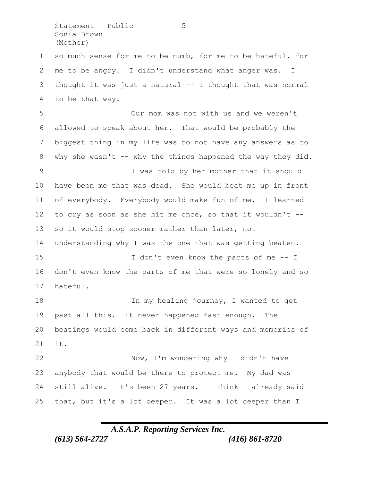Statement – Public 5 Sonia Brown (Mother)

 so much sense for me to be numb, for me to be hateful, for me to be angry. I didn't understand what anger was. I thought it was just a natural -- I thought that was normal to be that way.

 Our mom was not with us and we weren't allowed to speak about her. That would be probably the biggest thing in my life was to not have any answers as to 8 why she wasn't -- why the things happened the way they did. I was told by her mother that it should have been me that was dead. She would beat me up in front of everybody. Everybody would make fun of me. I learned to cry as soon as she hit me once, so that it wouldn't -- so it would stop sooner rather than later, not understanding why I was the one that was getting beaten. 15 I don't even know the parts of me -- I don't even know the parts of me that were so lonely and so hateful. 18 In my healing journey, I wanted to get past all this. It never happened fast enough. The beatings would come back in different ways and memories of it. Now, I'm wondering why I didn't have anybody that would be there to protect me. My dad was still alive. It's been 27 years. I think I already said

*A.S.A.P. Reporting Services Inc. (613) 564-2727 (416) 861-8720*

that, but it's a lot deeper. It was a lot deeper than I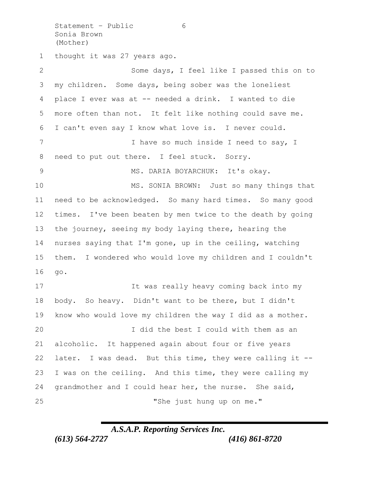Statement - Public 6 Sonia Brown (Mother)

thought it was 27 years ago.

 Some days, I feel like I passed this on to my children. Some days, being sober was the loneliest place I ever was at -- needed a drink. I wanted to die more often than not. It felt like nothing could save me. I can't even say I know what love is. I never could. 7 I have so much inside I need to say, I need to put out there. I feel stuck. Sorry. MS. DARIA BOYARCHUK: It's okay. 10 MS. SONIA BROWN: Just so many things that need to be acknowledged. So many hard times. So many good times. I've been beaten by men twice to the death by going the journey, seeing my body laying there, hearing the nurses saying that I'm gone, up in the ceiling, watching them. I wondered who would love my children and I couldn't go. 17 17 It was really heavy coming back into my body. So heavy. Didn't want to be there, but I didn't know who would love my children the way I did as a mother. I did the best I could with them as an alcoholic. It happened again about four or five years later. I was dead. But this time, they were calling it -- I was on the ceiling. And this time, they were calling my grandmother and I could hear her, the nurse. She said, "She just hung up on me."

*A.S.A.P. Reporting Services Inc.*

*(613) 564-2727 (416) 861-8720*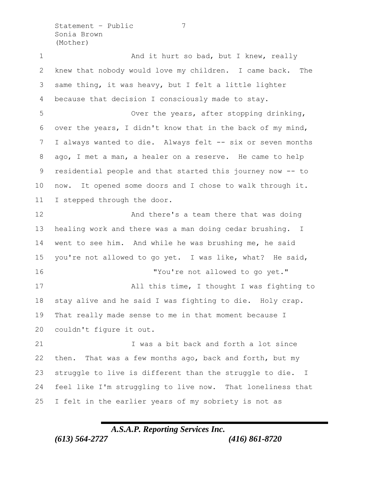Statement - Public 7 Sonia Brown (Mother)

1 And it hurt so bad, but I knew, really knew that nobody would love my children. I came back. The same thing, it was heavy, but I felt a little lighter because that decision I consciously made to stay. Over the years, after stopping drinking, over the years, I didn't know that in the back of my mind, I always wanted to die. Always felt -- six or seven months ago, I met a man, a healer on a reserve. He came to help residential people and that started this journey now -- to now. It opened some doors and I chose to walk through it. I stepped through the door. **And there's a team there that was doing**  healing work and there was a man doing cedar brushing. I went to see him. And while he was brushing me, he said you're not allowed to go yet. I was like, what? He said, "You're not allowed to go yet." 17 All this time, I thought I was fighting to stay alive and he said I was fighting to die. Holy crap. That really made sense to me in that moment because I couldn't figure it out. I was a bit back and forth a lot since then. That was a few months ago, back and forth, but my struggle to live is different than the struggle to die. I feel like I'm struggling to live now. That loneliness that I felt in the earlier years of my sobriety is not as

*A.S.A.P. Reporting Services Inc. (613) 564-2727 (416) 861-8720*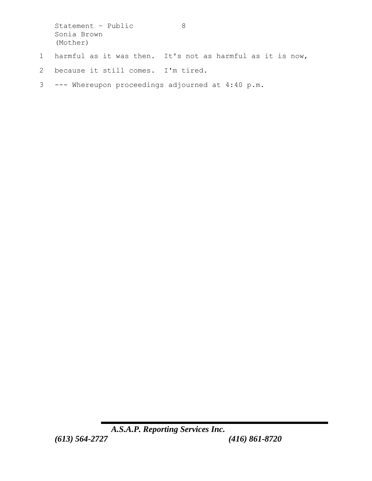Statement - Public 8 Sonia Brown (Mother) 1 harmful as it was then. It's not as harmful as it is now,

- 2 because it still comes. I'm tired.
- 3 --- Whereupon proceedings adjourned at 4:40 p.m.